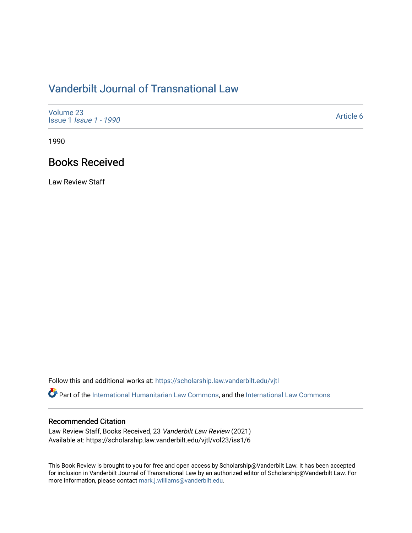# [Vanderbilt Journal of Transnational Law](https://scholarship.law.vanderbilt.edu/vjtl)

| Volume 23<br>Issue 1 <i>Issue 1 - 1990</i> | Article 6 |
|--------------------------------------------|-----------|
|--------------------------------------------|-----------|

1990

## Books Received

Law Review Staff

Follow this and additional works at: [https://scholarship.law.vanderbilt.edu/vjtl](https://scholarship.law.vanderbilt.edu/vjtl?utm_source=scholarship.law.vanderbilt.edu%2Fvjtl%2Fvol23%2Fiss1%2F6&utm_medium=PDF&utm_campaign=PDFCoverPages) 

Part of the [International Humanitarian Law Commons](http://network.bepress.com/hgg/discipline/1330?utm_source=scholarship.law.vanderbilt.edu%2Fvjtl%2Fvol23%2Fiss1%2F6&utm_medium=PDF&utm_campaign=PDFCoverPages), and the [International Law Commons](http://network.bepress.com/hgg/discipline/609?utm_source=scholarship.law.vanderbilt.edu%2Fvjtl%2Fvol23%2Fiss1%2F6&utm_medium=PDF&utm_campaign=PDFCoverPages) 

#### Recommended Citation

Law Review Staff, Books Received, 23 Vanderbilt Law Review (2021) Available at: https://scholarship.law.vanderbilt.edu/vjtl/vol23/iss1/6

This Book Review is brought to you for free and open access by Scholarship@Vanderbilt Law. It has been accepted for inclusion in Vanderbilt Journal of Transnational Law by an authorized editor of Scholarship@Vanderbilt Law. For more information, please contact [mark.j.williams@vanderbilt.edu](mailto:mark.j.williams@vanderbilt.edu).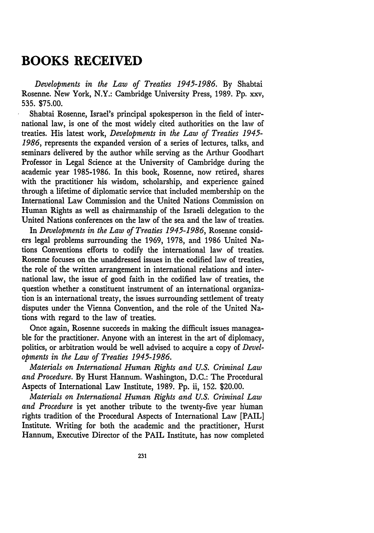## **BOOKS RECEIVED**

*Developments in the Law of Treaties 1945-1986.* By Shabtai Rosenne. New York, N.Y.: Cambridge University Press, 1989. Pp. xxv, 535. \$75.00.

Shabtai Rosenne, Israel's principal spokesperson in the field of international law, is one of the most widely cited authorities on the law of treaties. His latest work, *Developments in the Law of Treaties 1945- 1986,* represents the expanded version of a series of lectures, talks, and seminars delivered by the author while serving as the Arthur Goodhart Professor in Legal Science at the University of Cambridge during the academic year 1985-1986. In this book, Rosenne, now retired, shares with the practitioner his wisdom, scholarship, and experience gained through a lifetime of diplomatic service that included membership on the International Law Commission and the United Nations Commission on Human Rights as well as chairmanship of the Israeli delegation to the United Nations conferences on the law of the sea and the law of treaties.

In *Developments in the Law of Treaties 1945-1986,* Rosenne considers legal problems surrounding the 1969, 1978, and 1986 United Nations Conventions efforts to codify the international law of treaties. Rosenne focuses on the unaddressed issues in the codified law of treaties, the role of the written arrangement in international relations and international law, the issue of good faith in the codified law of treaties, the question whether a constituent instrument of an international organization is an international treaty, the issues surrounding settlement of treaty disputes under the Vienna Convention, and the role of the United Nations with regard to the law of treaties.

Once again, Rosenne succeeds in making the difficult issues manageable for the practitioner. Anyone with an interest in the art of diplomacy, politics, or arbitration would be well advised to acquire a copy of *Developments in the Law of Treaties 1945-1986.*

*Materials on International Human Rights and U.S. Criminal Law and Procedure.* By Hurst Hannum. Washington, D.C.: The Procedural Aspects of International Law Institute, 1989. Pp. ii, 152. \$20.00.

*Materials on International Human Rights and U.S. Criminal Law and Procedure* is yet another tribute to the twenty-five year human rights tradition of the Procedural Aspects of International Law [PAIL] Institute. Writing for both the academic and the practitioner, Hurst Hannum, Executive Director of the PAIL Institute, has now completed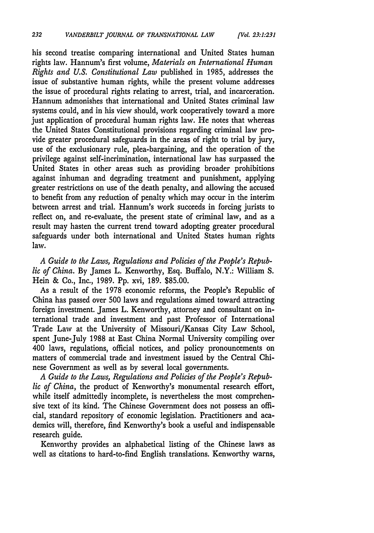his second treatise comparing international and United States human rights law. Hannum's first volume, *Materials on International Human Rights and U.S. Constitutional Law* published in 1985, addresses the issue of substantive human rights, while the present volume addresses the issue of procedural rights relating to arrest, trial, and incarceration. Hannum admonishes that international and United States criminal law systems could, and in his view should, work cooperatively toward a more just application of procedural human rights law. He notes that whereas the United States Constitutional provisions regarding criminal law provide greater procedural safeguards in the areas of right to trial by jury, use of the exclusionary rule, plea-bargaining, and the operation of the privilege against self-incrimination, international law has surpassed the United States in other areas such as providing broader prohibitions against inhuman and degrading treatment and punishment, applying greater restrictions on use of the death penalty, and allowing the accused to benefit from any reduction of penalty which may occur in the interim between arrest and trial. Hannum's work succeeds in forcing jurists to reflect on, and re-evaluate, the present state of criminal law, and as a result may hasten the current trend toward adopting greater procedural safeguards under both international and United States human rights law.

*A Guide to the Laws, Regulations and Policies of the People's Republic of China.* By James L. Kenworthy, Esq. Buffalo, N.Y.: William S. Hein & Co., Inc., 1989. Pp. xvi, 189. \$85.00.

As a result of the 1978 economic reforms, the People's Republic of China has passed over 500 laws and regulations aimed toward attracting foreign investment. James L. Kenworthy, attorney and consultant on international trade and investment and past Professor of International Trade Law at the University of Missouri/Kansas City Law School, spent June-July 1988 at East China Normal University compiling over 400 laws, regulations, official notices, and policy pronouncements on matters of commercial trade and investment issued by the Central Chinese Government as well as by several local governments.

*A Guide to the Laws, Regulations and Policies of the People's Republic of China,* the product of Kenworthy's monumental research effort, while itself admittedly incomplete, is nevertheless the most comprehensive text of its kind. The Chinese Government does not possess an official, standard repository of economic legislation. Practitioners and academics will, therefore, find Kenworthy's book a useful and indispensable research guide.

Kenworthy provides an alphabetical listing of the Chinese laws as well as citations to hard-to-find English translations. Kenworthy warns,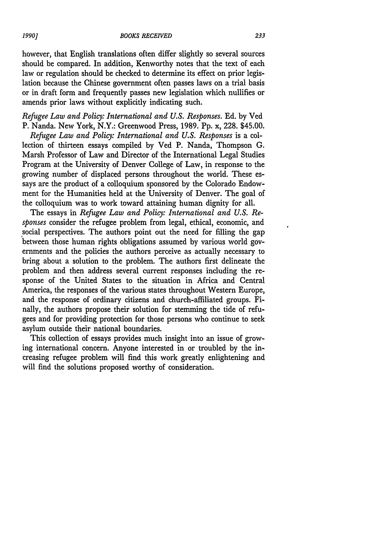however, that English translations often differ slightly so several sources should be compared. In addition, Kenworthy notes that the text of each law or regulation should be checked to determine its effect on prior legislation because the Chinese government often passes laws on a trial basis or in draft form and frequently passes new legislation which nullifies or amends prior laws without explicitly indicating such.

### *Refugee Law and Policy: International and U.S. Responses.* Ed. by Ved P. Nanda. New York, N.Y.: Greenwood Press, 1989. Pp. x, 228. \$45.00.

*Refugee Law and Policy: International and U.S. Responses* is a collection of thirteen essays compiled by Ved P. Nanda, Thompson G. Marsh Professor of Law and Director of the International Legal Studies Program at the University of Denver College of Law, in response to the growing number of displaced persons throughout the world. These essays are the product of a colloquium sponsored by the Colorado Endowment for the Humanities held at the University of Denver. The goal of the colloquium was to work toward attaining human dignity for all.

The essays in *Refugee Law and Policy: International and U.S. Responses* consider the refugee problem from legal, ethical, economic, and social perspectives. The authors point out the need for filling the gap between those human rights obligations assumed by various world governments and the policies the authors perceive as actually necessary to bring about a solution to the problem. The authors first delineate the problem and then address several current responses including the response of the United States to the situation in Africa and Central America, the responses of the various states throughout Western Europe, and the response of ordinary citizens and church-affiliated groups. Finally, the authors propose their solution for stemming the tide of refugees and for providing protection for those persons who continue to seek asylum outside their national boundaries.

This collection of essays provides much insight into an issue of growing international concern. Anyone interested in or troubled by the increasing refugee problem will find this work greatly enlightening and will find the solutions proposed worthy of consideration.